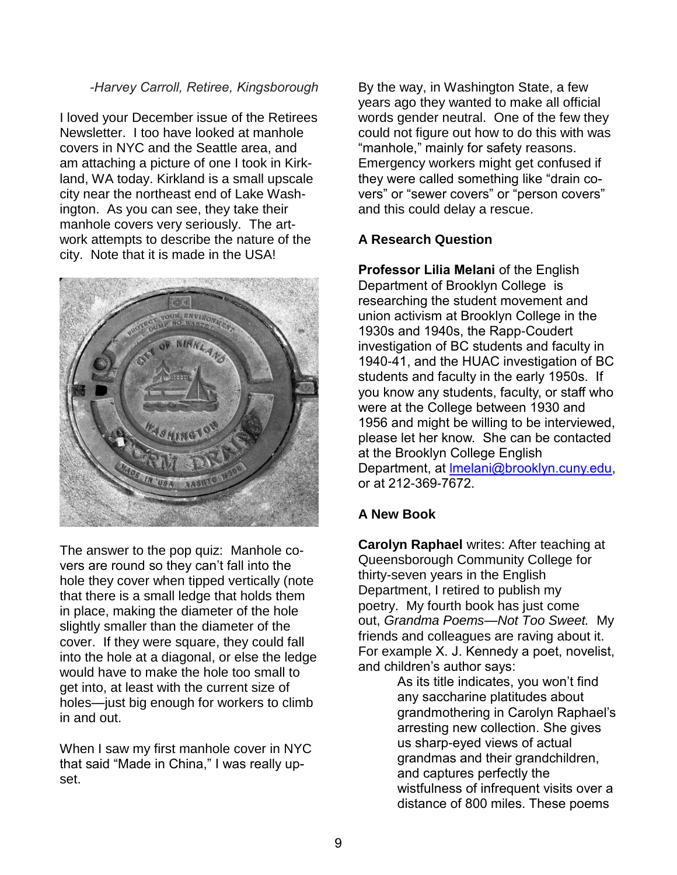## *-Harvey Carroll, Retiree, Kingsborough*

I loved your December issue of the Retirees Newsletter. I too have looked at manhole covers in NYC and the Seattle area, and am attaching a picture of one I took in Kirkland, WA today. Kirkland is a small upscale city near the northeast end of Lake Washington. As you can see, they take their manhole covers very seriously. The artwork attempts to describe the nature of the city. Note that it is made in the USA!



The answer to the pop quiz: Manhole covers are round so they can't fall into the hole they cover when tipped vertically (note that there is a small ledge that holds them in place, making the diameter of the hole slightly smaller than the diameter of the cover. If they were square, they could fall into the hole at a diagonal, or else the ledge would have to make the hole too small to get into, at least with the current size of holes—just big enough for workers to climb in and out.

When I saw my first manhole cover in NYC that said "Made in China," I was really upset.

By the way, in Washington State, a few years ago they wanted to make all official words gender neutral. One of the few they could not figure out how to do this with was "manhole," mainly for safety reasons. Emergency workers might get confused if they were called something like "drain covers" or "sewer covers" or "person covers" and this could delay a rescue.

## **A Research Question**

**Professor Lilia Melani** of the English Department of Brooklyn College is researching the student movement and union activism at Brooklyn College in the 1930s and 1940s, the Rapp-Coudert investigation of BC students and faculty in 1940-41, and the HUAC investigation of BC students and faculty in the early 1950s. If you know any students, faculty, or staff who were at the College between 1930 and 1956 and might be willing to be interviewed, please let her know. She can be contacted at the Brooklyn College English Department, at Imelani@brooklyn.cuny.edu, or at 212-369-7672.

## **A New Book**

**Carolyn Raphael** writes: After teaching at Queensborough Community College for thirty-seven years in the English Department, I retired to publish my poetry. My fourth book has just come out, *Grandma Poems—Not Too Sweet.* My friends and colleagues are raving about it. For example X. J. Kennedy a poet, novelist, and children's author says:

> As its title indicates, you won't find any saccharine platitudes about grandmothering in Carolyn Raphael's arresting new collection. She gives us sharp-eyed views of actual grandmas and their grandchildren, and captures perfectly the wistfulness of infrequent visits over a distance of 800 miles. These poems